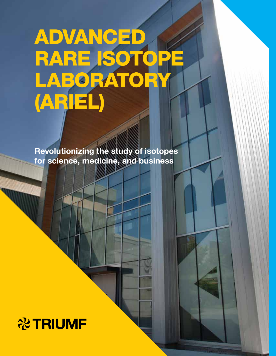# ADVANCED RARE ISOTOPE LABORATORY (ARIEL)

Revolutionizing the study of isotopes for science, medicine, and business

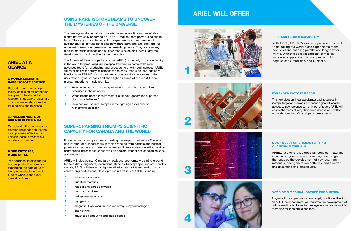## SUPERCHARGING TRIUMF'S SCIENTIFIC CAPACITY FOR CANADA AND THE WORLD

Producing more isotopes means creating more opportunities for Canadian and international researchers in topics ranging from particle and nuclear physics to the life and materials sciences. These endeavours will expand our horizons and increase the economic and societal impact of Canadian science and innovation.

- **accelerator science**
- **quantum materials**
- **nuclear and particle physics**
- **nuclear chemistry**
- **Relatively** radiopharmaceuticals
- **Cryogenics**
- **E** magnetic, high-vacuum, and radiofrequency technologies
- **E** engineering
- advanced computing and data science

ARIEL will also bolster Canada's knowledge economy. A training ground for scientists, engineers, technicians, students, tradespeople, and other professionals, ARIEL will develop a highly-skilled stream of talent and provide career-long professional development in a variety of fields, including:

### USING RARE ISOTOPE BEAMS TO UNCOVER THE MYSTERIES OF THE UNIVERSE

- $\blacksquare$  How and where are the heavy elements  $-$  from iron to uranium  $$ produced in the universe?
- What are the best quantum materials for next-generation superconductors or batteries?
- **How can we use rare isotopes in the fight against cancer or** Alzheimer's disease?

The fleeting, unstable nature of rare isotopes — exotic versions of elements not typically occurring on Earth — makes them powerful scientific tools. They are critical for scientific experiments at the forefront of nuclear physics, for understanding how stars burn and explode, and for uncovering new phenomena in fundamental physics. They are also key tools in materials science and nuclear medicine studies, particularly the development of radionuclide cancer therapies.

The Advanced Rare Isotope Laboratory (ARIEL) is the only multi-user facility in the world for producing rare isotopes. Powered by some of the most advanced tools for producing and processing short-lived isotopes, ARIEL will revolutionize the study of isotopes for science, medicine, and business. It will enable TRIUMF and its partners to pursue critical advances in the understanding of isotopes and shed light on some of the most fundamental questions in science, like:

## ARIEL AT A GLANCE

#### A WORLD LEADER IN RARE ISOTOPE SCIENCE

Highest power rare isotope facility of its kind for producing isotopes for fundamental research in nuclear physics and quantum materials, as well as for medicine and business.

#### 30 MILLION VOLTS OF SCIENTIFIC POTENTIAL

Canadian-built superconducting electron linear accelerator, the most powerful of its kind, to unleash the full power of our accelerator complex.

#### MORE ISOTOPES, MORE OFTEN

Two additional targets, tripling isotope production rates and expanding the catalogue of isotopes available to a multitude of world-class experimental facilities.

# ARIEL WILL OFFER

#### FULL MULTI-USER CAPABILITY

With ARIEL, TRIUMF's rare isotope production will triple, taking our world-class experiments to the next level and enabling parallel and longer experiments. With this boost in capacity comes an increased supply of exotic isotopes for cuttingedge science, medicine, and business.

#### EXPANDED ISOTOPE REACH

The new electron linear accelerator and advances in isotope target and ion source technologies will enable access to new isotopes currently out of reach. ARIEL will enable the study of very short-lived isotopes critical for our understanding of the origin of the elements.

#### NEW TOOLS FOR CHARACTERIZING QUANTUM MATERIALS

ARIEL's use of rare isotopes will grow our materials science program to a world-leading user program that enables the development of new quantum materials, next-generation batteries, and a better understanding of biomolecules.

#### SYMBIOTIC MEDICAL ISOTOPE PRODUCTION

A symbiotic isotope production target, positioned behind an ARIEL science target, will facilitate the development of critical medical isotopes for next-generation radionuclide therapies for metastatic cancers.